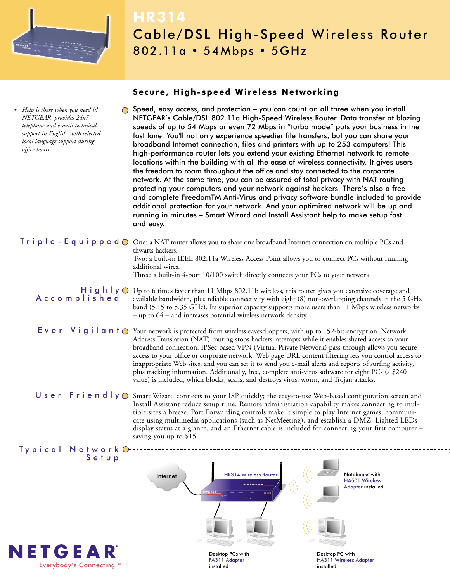

*• Help is there when you need it! NETGEAR provides 24x7 telephone and e-mail technical support in English, with selected local language support during office hours.*

## **HR314** Cable/DSL High-Speed Wireless Router 802.11a • 54Mbps • 5GHz

## **Secure, High-speed Wireless Networking**

Speed, easy access, and protection – you can count on all three when you install NETGEAR's Cable/DSL 802.11a High-Speed Wireless Router. Data transfer at blazing speeds of up to 54 Mbps or even 72 Mbps in "turbo mode" puts your business in the fast lane. You'll not only experience speedier file transfers, but you can share your broadband Internet connection, files and printers with up to 253 computers! This high-performance router lets you extend your existing Ethernet network to remote locations within the building with all the ease of wireless connectivity. It gives users the freedom to roam throughout the office and stay connected to the corporate network. At the same time, you can be assured of total privacy with NAT routing protecting your computers and your network against hackers. There's also a free and complete FreedomTM Anti-Virus and privacy software bundle included to provide additional protection for your network. And your optimized network will be up and running in minutes – Smart Wizard and Install Assistant help to make setup fast and easy.

Triple-Equipped ⊙ One: a NAT router allows you to share one broadband Internet connection on multiple PCs and thwarts hackers. Two: a built-in IEEE 802.11a Wireless Access Point allows you to connect PCs without running additional wires. Three: a built-in 4-port 10/100 switch directly connects your PCs to your network

H i **g** h l y ○ Up to 6 times faster than 11 Mbps 802.11b wireless, this router gives you extensive coverage and Accomplished available bandwidth, plus reliable connectivity with eight (8) non-overlapping channels in the 5 GHz band (5.15 to 5.35 GHz). Its superior capacity supports more users than 11 Mbps wireless networks – up to 64 – and increases potential wireless network density.

E v e r V i g i l a n t O Your network is protected from wireless eavesdroppers, with up to 152-bit encryption. Network Address Translation (NAT) routing stops hackers' attempts while it enables shared access to your broadband connection. IPSec-based VPN (Virtual Private Network) pass-through allows you secure access to your office or corporate network. Web page URL content filtering lets you control access to inappropriate Web sites, and you can set it to send you e-mail alerts and reports of surfing activity, plus tracking information. Additionally, free, complete anti-virus software for eight PCs (a \$240 value) is included, which blocks, scans, and destroys virus, worm, and Trojan attacks.

User Friendly  $\bigcirc$  Smart Wizard connects to your ISP quickly; the easy-to-use Web-based configuration screen and Install Assistant reduce setup time. Remote administration capability makes connecting to multiple sites a breeze. Port Forwarding controls make it simple to play Internet games, communicate using multimedia applications (such as NetMeeting), and establish a DMZ. Lighted LEDs display status at a glance, and an Ethernet cable is included for connecting your first computer – saving you up to \$15.